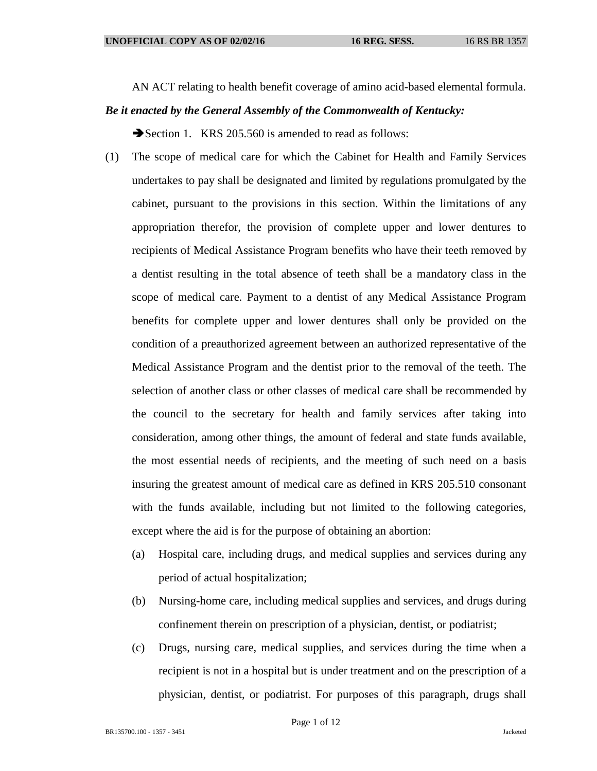AN ACT relating to health benefit coverage of amino acid-based elemental formula.

## *Be it enacted by the General Assembly of the Commonwealth of Kentucky:*

Section 1. KRS 205.560 is amended to read as follows:

- (1) The scope of medical care for which the Cabinet for Health and Family Services undertakes to pay shall be designated and limited by regulations promulgated by the cabinet, pursuant to the provisions in this section. Within the limitations of any appropriation therefor, the provision of complete upper and lower dentures to recipients of Medical Assistance Program benefits who have their teeth removed by a dentist resulting in the total absence of teeth shall be a mandatory class in the scope of medical care. Payment to a dentist of any Medical Assistance Program benefits for complete upper and lower dentures shall only be provided on the condition of a preauthorized agreement between an authorized representative of the Medical Assistance Program and the dentist prior to the removal of the teeth. The selection of another class or other classes of medical care shall be recommended by the council to the secretary for health and family services after taking into consideration, among other things, the amount of federal and state funds available, the most essential needs of recipients, and the meeting of such need on a basis insuring the greatest amount of medical care as defined in KRS 205.510 consonant with the funds available, including but not limited to the following categories, except where the aid is for the purpose of obtaining an abortion:
	- (a) Hospital care, including drugs, and medical supplies and services during any period of actual hospitalization;
	- (b) Nursing-home care, including medical supplies and services, and drugs during confinement therein on prescription of a physician, dentist, or podiatrist;
	- (c) Drugs, nursing care, medical supplies, and services during the time when a recipient is not in a hospital but is under treatment and on the prescription of a physician, dentist, or podiatrist. For purposes of this paragraph, drugs shall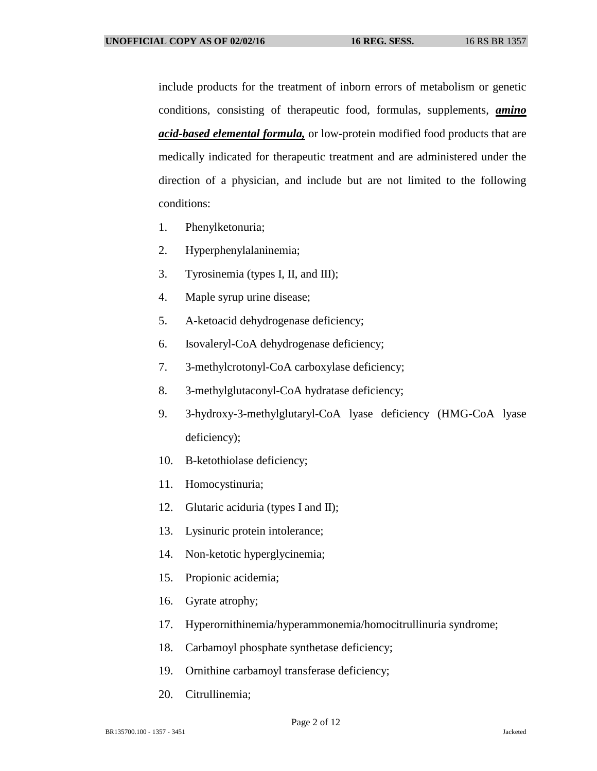include products for the treatment of inborn errors of metabolism or genetic conditions, consisting of therapeutic food, formulas, supplements, *amino acid-based elemental formula,* or low-protein modified food products that are medically indicated for therapeutic treatment and are administered under the direction of a physician, and include but are not limited to the following conditions:

- 1. Phenylketonuria;
- 2. Hyperphenylalaninemia;
- 3. Tyrosinemia (types I, II, and III);
- 4. Maple syrup urine disease;
- 5. A-ketoacid dehydrogenase deficiency;
- 6. Isovaleryl-CoA dehydrogenase deficiency;
- 7. 3-methylcrotonyl-CoA carboxylase deficiency;
- 8. 3-methylglutaconyl-CoA hydratase deficiency;
- 9. 3-hydroxy-3-methylglutaryl-CoA lyase deficiency (HMG-CoA lyase deficiency);
- 10. B-ketothiolase deficiency;
- 11. Homocystinuria;
- 12. Glutaric aciduria (types I and II);
- 13. Lysinuric protein intolerance;
- 14. Non-ketotic hyperglycinemia;
- 15. Propionic acidemia;
- 16. Gyrate atrophy;
- 17. Hyperornithinemia/hyperammonemia/homocitrullinuria syndrome;
- 18. Carbamoyl phosphate synthetase deficiency;
- 19. Ornithine carbamoyl transferase deficiency;
- 20. Citrullinemia;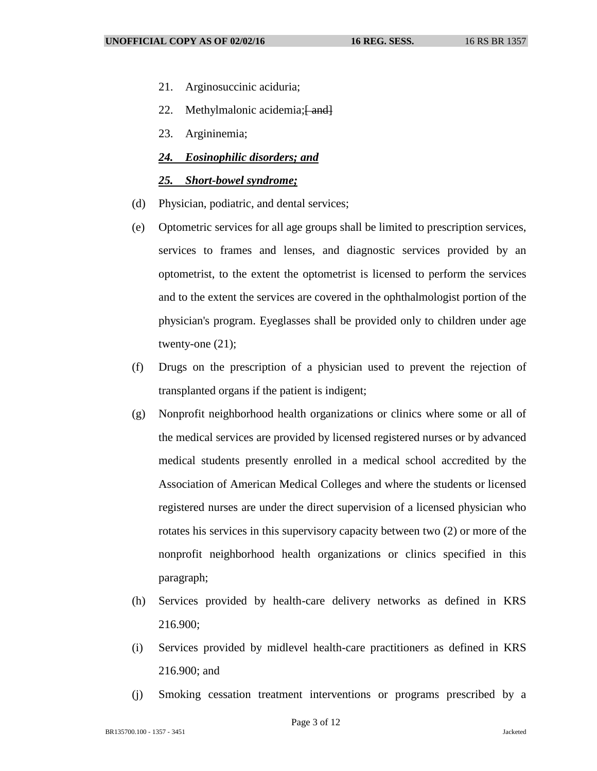- 21. Arginosuccinic aciduria;
- 22. Methylmalonic acidemia; $\frac{22}{1}$
- 23. Argininemia;

## *24. Eosinophilic disorders; and*

## *25. Short-bowel syndrome;*

- (d) Physician, podiatric, and dental services;
- (e) Optometric services for all age groups shall be limited to prescription services, services to frames and lenses, and diagnostic services provided by an optometrist, to the extent the optometrist is licensed to perform the services and to the extent the services are covered in the ophthalmologist portion of the physician's program. Eyeglasses shall be provided only to children under age twenty-one (21);
- (f) Drugs on the prescription of a physician used to prevent the rejection of transplanted organs if the patient is indigent;
- (g) Nonprofit neighborhood health organizations or clinics where some or all of the medical services are provided by licensed registered nurses or by advanced medical students presently enrolled in a medical school accredited by the Association of American Medical Colleges and where the students or licensed registered nurses are under the direct supervision of a licensed physician who rotates his services in this supervisory capacity between two (2) or more of the nonprofit neighborhood health organizations or clinics specified in this paragraph;
- (h) Services provided by health-care delivery networks as defined in KRS 216.900;
- (i) Services provided by midlevel health-care practitioners as defined in KRS 216.900; and
- (j) Smoking cessation treatment interventions or programs prescribed by a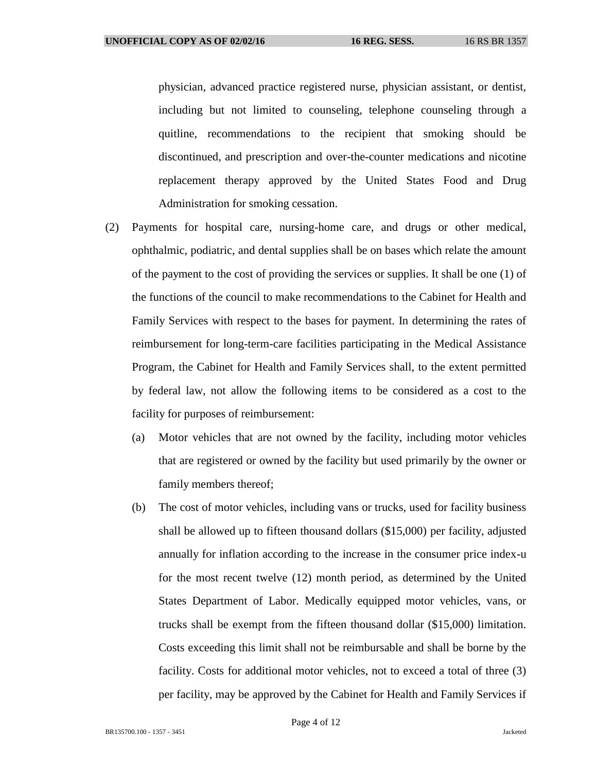physician, advanced practice registered nurse, physician assistant, or dentist, including but not limited to counseling, telephone counseling through a quitline, recommendations to the recipient that smoking should be discontinued, and prescription and over-the-counter medications and nicotine replacement therapy approved by the United States Food and Drug Administration for smoking cessation.

- (2) Payments for hospital care, nursing-home care, and drugs or other medical, ophthalmic, podiatric, and dental supplies shall be on bases which relate the amount of the payment to the cost of providing the services or supplies. It shall be one (1) of the functions of the council to make recommendations to the Cabinet for Health and Family Services with respect to the bases for payment. In determining the rates of reimbursement for long-term-care facilities participating in the Medical Assistance Program, the Cabinet for Health and Family Services shall, to the extent permitted by federal law, not allow the following items to be considered as a cost to the facility for purposes of reimbursement:
	- (a) Motor vehicles that are not owned by the facility, including motor vehicles that are registered or owned by the facility but used primarily by the owner or family members thereof;
	- (b) The cost of motor vehicles, including vans or trucks, used for facility business shall be allowed up to fifteen thousand dollars (\$15,000) per facility, adjusted annually for inflation according to the increase in the consumer price index-u for the most recent twelve (12) month period, as determined by the United States Department of Labor. Medically equipped motor vehicles, vans, or trucks shall be exempt from the fifteen thousand dollar (\$15,000) limitation. Costs exceeding this limit shall not be reimbursable and shall be borne by the facility. Costs for additional motor vehicles, not to exceed a total of three (3) per facility, may be approved by the Cabinet for Health and Family Services if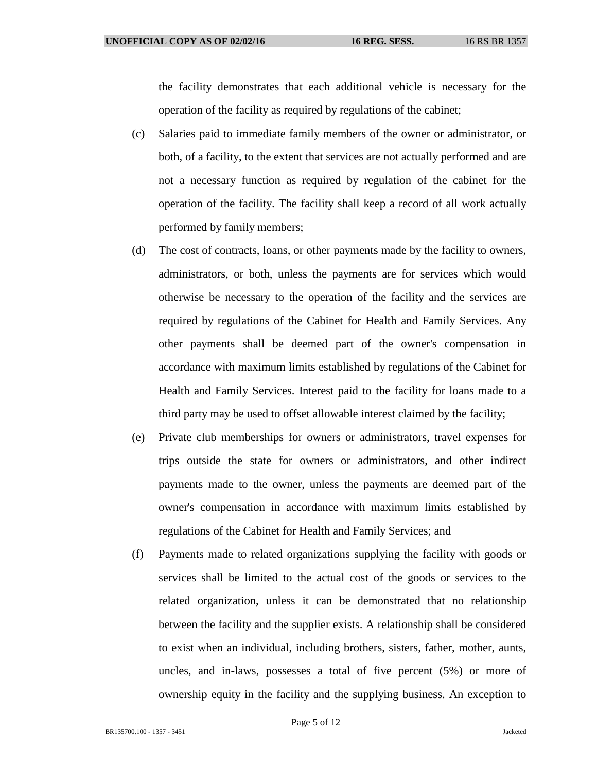the facility demonstrates that each additional vehicle is necessary for the operation of the facility as required by regulations of the cabinet;

- (c) Salaries paid to immediate family members of the owner or administrator, or both, of a facility, to the extent that services are not actually performed and are not a necessary function as required by regulation of the cabinet for the operation of the facility. The facility shall keep a record of all work actually performed by family members;
- (d) The cost of contracts, loans, or other payments made by the facility to owners, administrators, or both, unless the payments are for services which would otherwise be necessary to the operation of the facility and the services are required by regulations of the Cabinet for Health and Family Services. Any other payments shall be deemed part of the owner's compensation in accordance with maximum limits established by regulations of the Cabinet for Health and Family Services. Interest paid to the facility for loans made to a third party may be used to offset allowable interest claimed by the facility;
- (e) Private club memberships for owners or administrators, travel expenses for trips outside the state for owners or administrators, and other indirect payments made to the owner, unless the payments are deemed part of the owner's compensation in accordance with maximum limits established by regulations of the Cabinet for Health and Family Services; and
- (f) Payments made to related organizations supplying the facility with goods or services shall be limited to the actual cost of the goods or services to the related organization, unless it can be demonstrated that no relationship between the facility and the supplier exists. A relationship shall be considered to exist when an individual, including brothers, sisters, father, mother, aunts, uncles, and in-laws, possesses a total of five percent (5%) or more of ownership equity in the facility and the supplying business. An exception to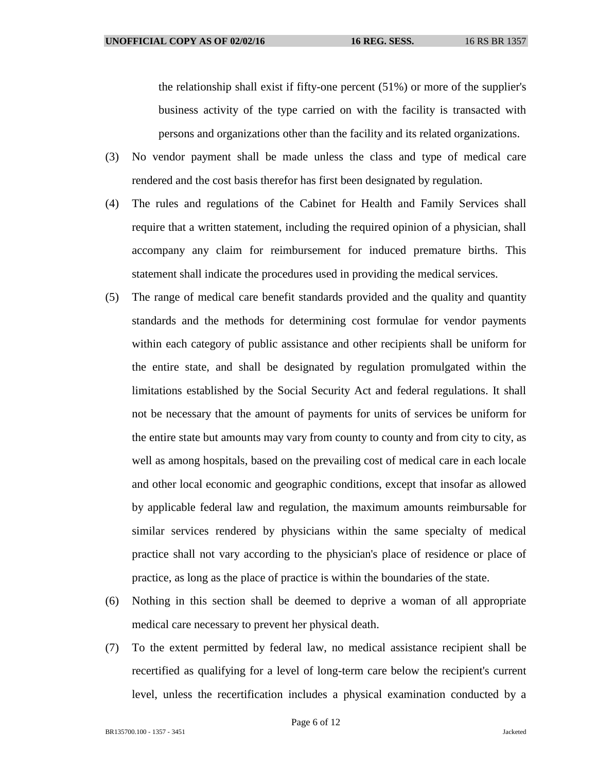the relationship shall exist if fifty-one percent (51%) or more of the supplier's business activity of the type carried on with the facility is transacted with persons and organizations other than the facility and its related organizations.

- (3) No vendor payment shall be made unless the class and type of medical care rendered and the cost basis therefor has first been designated by regulation.
- (4) The rules and regulations of the Cabinet for Health and Family Services shall require that a written statement, including the required opinion of a physician, shall accompany any claim for reimbursement for induced premature births. This statement shall indicate the procedures used in providing the medical services.
- (5) The range of medical care benefit standards provided and the quality and quantity standards and the methods for determining cost formulae for vendor payments within each category of public assistance and other recipients shall be uniform for the entire state, and shall be designated by regulation promulgated within the limitations established by the Social Security Act and federal regulations. It shall not be necessary that the amount of payments for units of services be uniform for the entire state but amounts may vary from county to county and from city to city, as well as among hospitals, based on the prevailing cost of medical care in each locale and other local economic and geographic conditions, except that insofar as allowed by applicable federal law and regulation, the maximum amounts reimbursable for similar services rendered by physicians within the same specialty of medical practice shall not vary according to the physician's place of residence or place of practice, as long as the place of practice is within the boundaries of the state.
- (6) Nothing in this section shall be deemed to deprive a woman of all appropriate medical care necessary to prevent her physical death.
- (7) To the extent permitted by federal law, no medical assistance recipient shall be recertified as qualifying for a level of long-term care below the recipient's current level, unless the recertification includes a physical examination conducted by a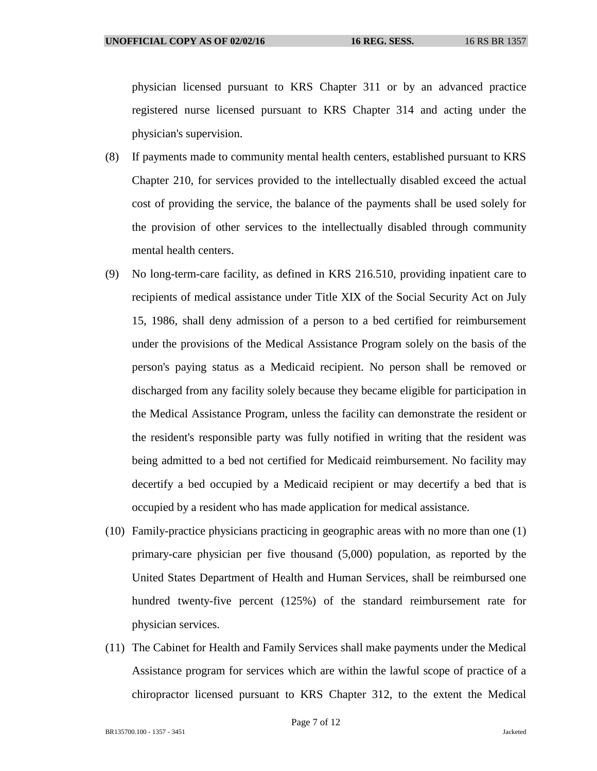physician licensed pursuant to KRS Chapter 311 or by an advanced practice registered nurse licensed pursuant to KRS Chapter 314 and acting under the physician's supervision.

- (8) If payments made to community mental health centers, established pursuant to KRS Chapter 210, for services provided to the intellectually disabled exceed the actual cost of providing the service, the balance of the payments shall be used solely for the provision of other services to the intellectually disabled through community mental health centers.
- (9) No long-term-care facility, as defined in KRS 216.510, providing inpatient care to recipients of medical assistance under Title XIX of the Social Security Act on July 15, 1986, shall deny admission of a person to a bed certified for reimbursement under the provisions of the Medical Assistance Program solely on the basis of the person's paying status as a Medicaid recipient. No person shall be removed or discharged from any facility solely because they became eligible for participation in the Medical Assistance Program, unless the facility can demonstrate the resident or the resident's responsible party was fully notified in writing that the resident was being admitted to a bed not certified for Medicaid reimbursement. No facility may decertify a bed occupied by a Medicaid recipient or may decertify a bed that is occupied by a resident who has made application for medical assistance.
- (10) Family-practice physicians practicing in geographic areas with no more than one (1) primary-care physician per five thousand (5,000) population, as reported by the United States Department of Health and Human Services, shall be reimbursed one hundred twenty-five percent (125%) of the standard reimbursement rate for physician services.
- (11) The Cabinet for Health and Family Services shall make payments under the Medical Assistance program for services which are within the lawful scope of practice of a chiropractor licensed pursuant to KRS Chapter 312, to the extent the Medical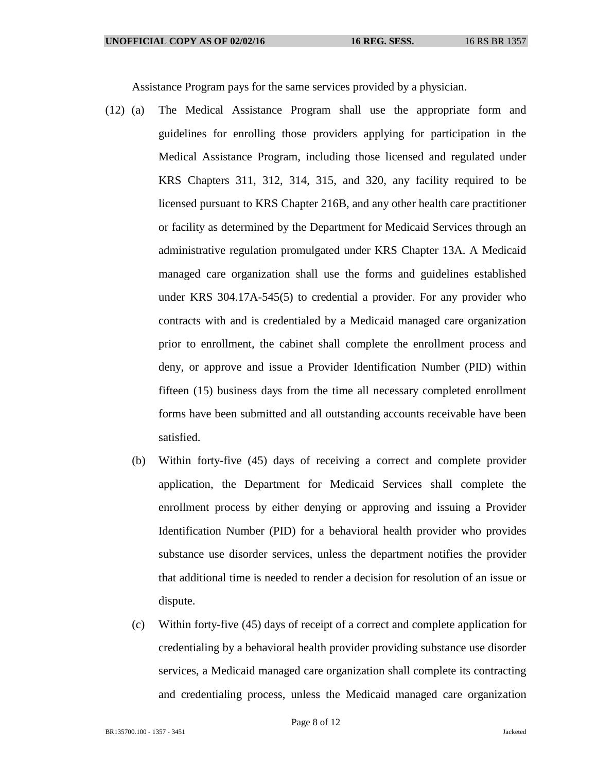Assistance Program pays for the same services provided by a physician.

- (12) (a) The Medical Assistance Program shall use the appropriate form and guidelines for enrolling those providers applying for participation in the Medical Assistance Program, including those licensed and regulated under KRS Chapters 311, 312, 314, 315, and 320, any facility required to be licensed pursuant to KRS Chapter 216B, and any other health care practitioner or facility as determined by the Department for Medicaid Services through an administrative regulation promulgated under KRS Chapter 13A. A Medicaid managed care organization shall use the forms and guidelines established under KRS 304.17A-545(5) to credential a provider. For any provider who contracts with and is credentialed by a Medicaid managed care organization prior to enrollment, the cabinet shall complete the enrollment process and deny, or approve and issue a Provider Identification Number (PID) within fifteen (15) business days from the time all necessary completed enrollment forms have been submitted and all outstanding accounts receivable have been satisfied.
	- (b) Within forty-five (45) days of receiving a correct and complete provider application, the Department for Medicaid Services shall complete the enrollment process by either denying or approving and issuing a Provider Identification Number (PID) for a behavioral health provider who provides substance use disorder services, unless the department notifies the provider that additional time is needed to render a decision for resolution of an issue or dispute.
	- (c) Within forty-five (45) days of receipt of a correct and complete application for credentialing by a behavioral health provider providing substance use disorder services, a Medicaid managed care organization shall complete its contracting and credentialing process, unless the Medicaid managed care organization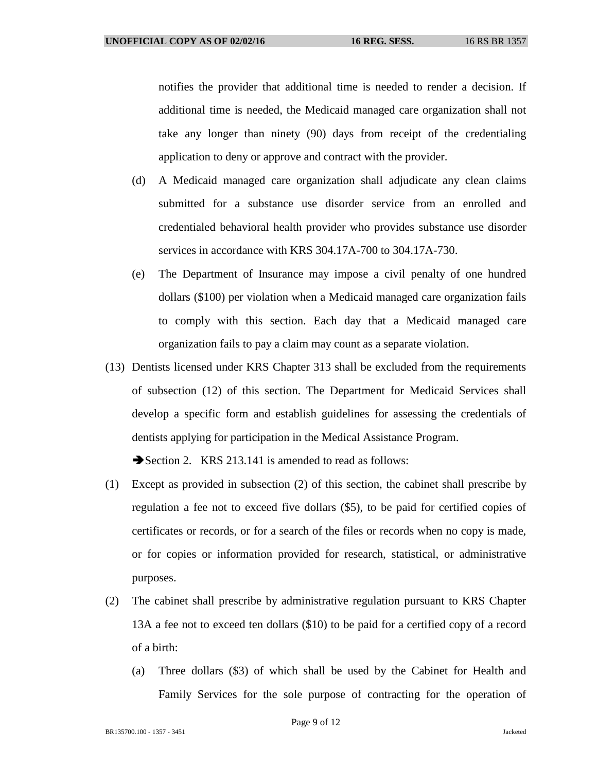notifies the provider that additional time is needed to render a decision. If additional time is needed, the Medicaid managed care organization shall not take any longer than ninety (90) days from receipt of the credentialing application to deny or approve and contract with the provider.

- (d) A Medicaid managed care organization shall adjudicate any clean claims submitted for a substance use disorder service from an enrolled and credentialed behavioral health provider who provides substance use disorder services in accordance with KRS 304.17A-700 to 304.17A-730.
- (e) The Department of Insurance may impose a civil penalty of one hundred dollars (\$100) per violation when a Medicaid managed care organization fails to comply with this section. Each day that a Medicaid managed care organization fails to pay a claim may count as a separate violation.
- (13) Dentists licensed under KRS Chapter 313 shall be excluded from the requirements of subsection (12) of this section. The Department for Medicaid Services shall develop a specific form and establish guidelines for assessing the credentials of dentists applying for participation in the Medical Assistance Program.

Section 2. KRS 213.141 is amended to read as follows:

- (1) Except as provided in subsection (2) of this section, the cabinet shall prescribe by regulation a fee not to exceed five dollars (\$5), to be paid for certified copies of certificates or records, or for a search of the files or records when no copy is made, or for copies or information provided for research, statistical, or administrative purposes.
- (2) The cabinet shall prescribe by administrative regulation pursuant to KRS Chapter 13A a fee not to exceed ten dollars (\$10) to be paid for a certified copy of a record of a birth:
	- (a) Three dollars (\$3) of which shall be used by the Cabinet for Health and Family Services for the sole purpose of contracting for the operation of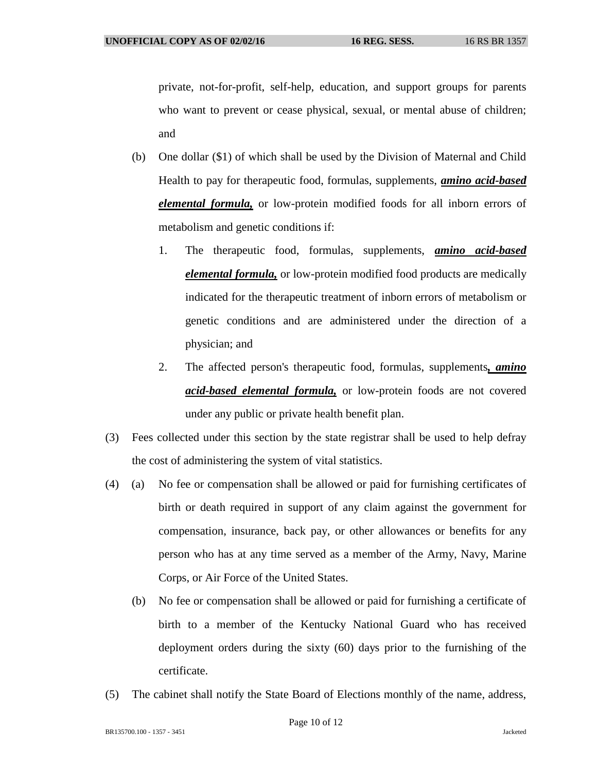private, not-for-profit, self-help, education, and support groups for parents who want to prevent or cease physical, sexual, or mental abuse of children; and

- (b) One dollar (\$1) of which shall be used by the Division of Maternal and Child Health to pay for therapeutic food, formulas, supplements, *amino acid-based elemental formula,* or low-protein modified foods for all inborn errors of metabolism and genetic conditions if:
	- 1. The therapeutic food, formulas, supplements, *amino acid-based elemental formula,* or low-protein modified food products are medically indicated for the therapeutic treatment of inborn errors of metabolism or genetic conditions and are administered under the direction of a physician; and
	- 2. The affected person's therapeutic food, formulas, supplements*, amino acid-based elemental formula,* or low-protein foods are not covered under any public or private health benefit plan.
- (3) Fees collected under this section by the state registrar shall be used to help defray the cost of administering the system of vital statistics.
- (4) (a) No fee or compensation shall be allowed or paid for furnishing certificates of birth or death required in support of any claim against the government for compensation, insurance, back pay, or other allowances or benefits for any person who has at any time served as a member of the Army, Navy, Marine Corps, or Air Force of the United States.
	- (b) No fee or compensation shall be allowed or paid for furnishing a certificate of birth to a member of the Kentucky National Guard who has received deployment orders during the sixty (60) days prior to the furnishing of the certificate.
- (5) The cabinet shall notify the State Board of Elections monthly of the name, address,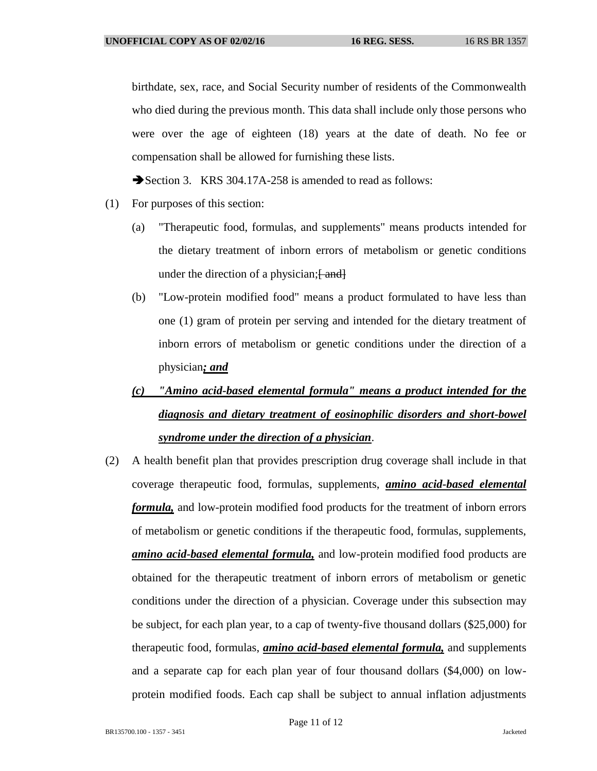birthdate, sex, race, and Social Security number of residents of the Commonwealth who died during the previous month. This data shall include only those persons who were over the age of eighteen (18) years at the date of death. No fee or compensation shall be allowed for furnishing these lists.

Section 3. KRS 304.17A-258 is amended to read as follows:

- (1) For purposes of this section:
	- (a) "Therapeutic food, formulas, and supplements" means products intended for the dietary treatment of inborn errors of metabolism or genetic conditions under the direction of a physician;  $\frac{1}{2}$  and  $\frac{1}{2}$
	- (b) "Low-protein modified food" means a product formulated to have less than one (1) gram of protein per serving and intended for the dietary treatment of inborn errors of metabolism or genetic conditions under the direction of a physician*; and*
	- *(c) "Amino acid-based elemental formula" means a product intended for the diagnosis and dietary treatment of eosinophilic disorders and short-bowel syndrome under the direction of a physician*.
- (2) A health benefit plan that provides prescription drug coverage shall include in that coverage therapeutic food, formulas, supplements, *amino acid-based elemental formula,* and low-protein modified food products for the treatment of inborn errors of metabolism or genetic conditions if the therapeutic food, formulas, supplements, *amino acid-based elemental formula,* and low-protein modified food products are obtained for the therapeutic treatment of inborn errors of metabolism or genetic conditions under the direction of a physician. Coverage under this subsection may be subject, for each plan year, to a cap of twenty-five thousand dollars (\$25,000) for therapeutic food, formulas, *amino acid-based elemental formula,* and supplements and a separate cap for each plan year of four thousand dollars (\$4,000) on lowprotein modified foods. Each cap shall be subject to annual inflation adjustments